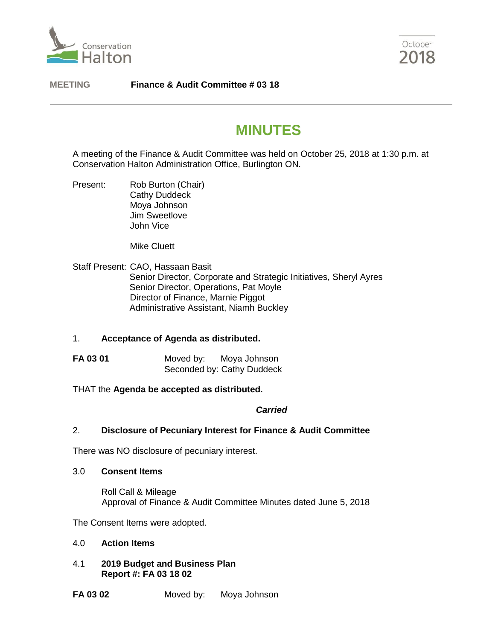



**MEETING Finance & Audit Committee # 03 18**

# **MINUTES**

A meeting of the Finance & Audit Committee was held on October 25, 2018 at 1:30 p.m. at Conservation Halton Administration Office, Burlington ON.

Present: Rob Burton (Chair) Cathy Duddeck Moya Johnson Jim Sweetlove John Vice

Mike Cluett

Staff Present: CAO, Hassaan Basit Senior Director, Corporate and Strategic Initiatives, Sheryl Ayres Senior Director, Operations, Pat Moyle Director of Finance, Marnie Piggot Administrative Assistant, Niamh Buckley

# 1. **Acceptance of Agenda as distributed.**

- **FA 03 01** Moved by: Moya Johnson Seconded by: Cathy Duddeck
- THAT the **Agenda be accepted as distributed.**

#### *Carried*

# 2. **Disclosure of Pecuniary Interest for Finance & Audit Committee**

There was NO disclosure of pecuniary interest.

#### 3.0 **Consent Items**

Roll Call & Mileage Approval of Finance & Audit Committee Minutes dated June 5, 2018

The Consent Items were adopted.

- 4.0 **Action Items**
- 4.1 **2019 Budget and Business Plan Report #: FA 03 18 02**

**FA 03 02** Moved by: Moya Johnson